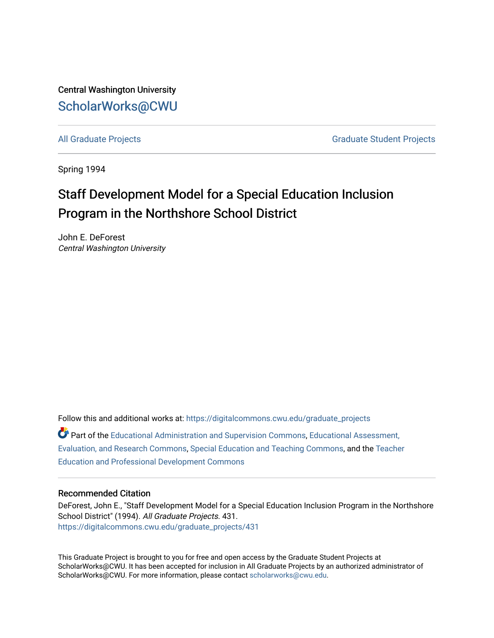Central Washington University [ScholarWorks@CWU](https://digitalcommons.cwu.edu/) 

[All Graduate Projects](https://digitalcommons.cwu.edu/graduate_projects) **Graduate Student Projects** Graduate Student Projects

Spring 1994

# Staff Development Model for a Special Education Inclusion Program in the Northshore School District

John E. DeForest Central Washington University

Follow this and additional works at: [https://digitalcommons.cwu.edu/graduate\\_projects](https://digitalcommons.cwu.edu/graduate_projects?utm_source=digitalcommons.cwu.edu%2Fgraduate_projects%2F431&utm_medium=PDF&utm_campaign=PDFCoverPages) Part of the [Educational Administration and Supervision Commons](http://network.bepress.com/hgg/discipline/787?utm_source=digitalcommons.cwu.edu%2Fgraduate_projects%2F431&utm_medium=PDF&utm_campaign=PDFCoverPages), [Educational Assessment,](http://network.bepress.com/hgg/discipline/796?utm_source=digitalcommons.cwu.edu%2Fgraduate_projects%2F431&utm_medium=PDF&utm_campaign=PDFCoverPages)  [Evaluation, and Research Commons,](http://network.bepress.com/hgg/discipline/796?utm_source=digitalcommons.cwu.edu%2Fgraduate_projects%2F431&utm_medium=PDF&utm_campaign=PDFCoverPages) [Special Education and Teaching Commons,](http://network.bepress.com/hgg/discipline/801?utm_source=digitalcommons.cwu.edu%2Fgraduate_projects%2F431&utm_medium=PDF&utm_campaign=PDFCoverPages) and the [Teacher](http://network.bepress.com/hgg/discipline/803?utm_source=digitalcommons.cwu.edu%2Fgraduate_projects%2F431&utm_medium=PDF&utm_campaign=PDFCoverPages)  [Education and Professional Development Commons](http://network.bepress.com/hgg/discipline/803?utm_source=digitalcommons.cwu.edu%2Fgraduate_projects%2F431&utm_medium=PDF&utm_campaign=PDFCoverPages)

### Recommended Citation

DeForest, John E., "Staff Development Model for a Special Education Inclusion Program in the Northshore School District" (1994). All Graduate Projects. 431. [https://digitalcommons.cwu.edu/graduate\\_projects/431](https://digitalcommons.cwu.edu/graduate_projects/431?utm_source=digitalcommons.cwu.edu%2Fgraduate_projects%2F431&utm_medium=PDF&utm_campaign=PDFCoverPages)

This Graduate Project is brought to you for free and open access by the Graduate Student Projects at ScholarWorks@CWU. It has been accepted for inclusion in All Graduate Projects by an authorized administrator of ScholarWorks@CWU. For more information, please contact [scholarworks@cwu.edu](mailto:scholarworks@cwu.edu).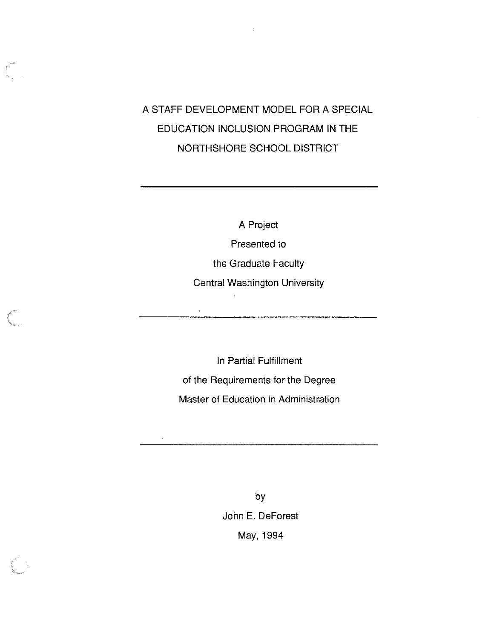## A STAFF DEVELOPMENT MODEL FOR A SPECIAL EDUCATION INCLUSION PROGRAM IN THE NORTHSHORE SCHOOL DISTRICT

A Project Presented to the Graduate Faculty Central Washington University  $\hat{\mathbf{v}}$ 

In Partial Fulfillment of the Requirements for the Degree Master of Education in Administration

 $\mathcal{L}$ 

by John E. DeForest May, 1994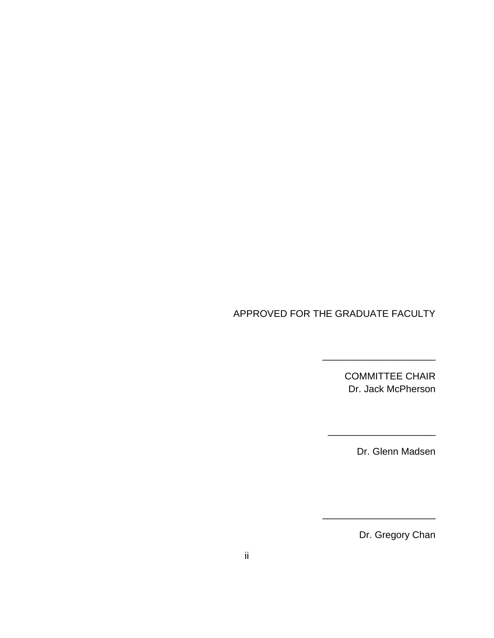## APPROVED FOR THE GRADUATE FACULTY

COMMITTEE CHAIR Dr. Jack McPherson

\_\_\_\_\_\_\_\_\_\_\_\_\_\_\_\_\_\_\_\_

\_\_\_\_\_\_\_\_\_\_\_\_\_\_\_\_\_\_\_\_\_

\_\_\_\_\_\_\_\_\_\_\_\_\_\_\_\_\_\_\_\_\_

Dr. Glenn Madsen

Dr. Gregory Chan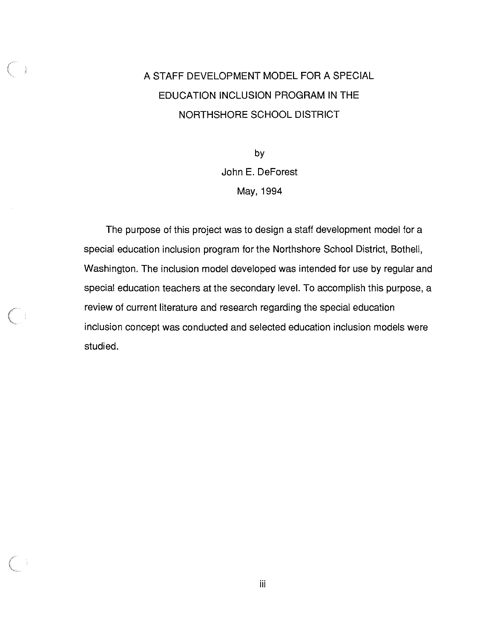# A STAFF DEVELOPMENT MODEL FOR A SPECIAL EDUCATION INCLUSION PROGRAM IN THE NORTHSHORE SCHOOL DISTRICT

by John E. DeForest May, 1994

The purpose of this project was to design a staff development model for a special education inclusion program for the Northshore School District, Bothell, Washington. The inclusion model developed was intended for use by regular and special education teachers at the secondary level. To accomplish this purpose, a review of current literature and research regarding the special education inclusion concept was conducted and selected education inclusion models were studied.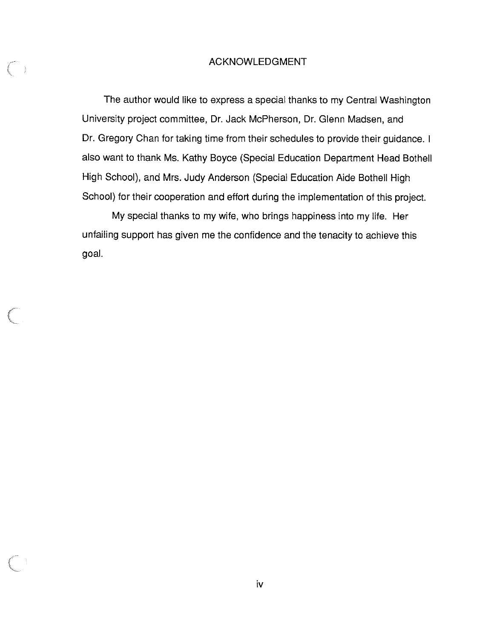### ACKNOWLEDGMENT

 $\left(\begin{array}{cc} 0 & 0 \ 0 & 0 \end{array}\right)$ 

The author would like to express a special thanks to my Central Washington University project committee, Dr. Jack McPherson, Dr. Glenn Madsen, and Dr. Gregory Chan for taking time from their schedules to provide their guidance. I also want to thank Ms. Kathy Boyce (Special Education Department Head Bothell High School), and Mrs. Judy Anderson (Special Education Aide Bothell High School) for their cooperation and effort during the implementation of this project.

My special thanks to my wife, who brings happiness into my life. Her unfailing support has given me the confidence and the tenacity to achieve this goal.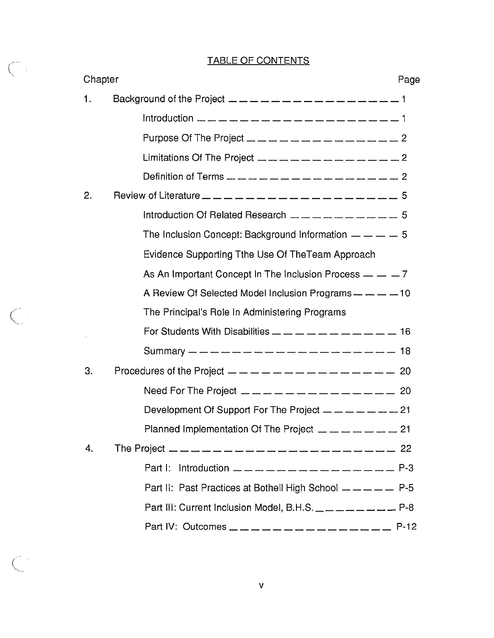## TABLE OF CONTENTS

 $C_1$ 

 $\mathbb{C}$ 

 $\bigcap_{\mathbb{Z}}$  :

| Chapter |                                                                                                                                                                                                                                                                                                                                                                                   |  |
|---------|-----------------------------------------------------------------------------------------------------------------------------------------------------------------------------------------------------------------------------------------------------------------------------------------------------------------------------------------------------------------------------------|--|
| 1.      | Background of the Project $\frac{1}{2}$ $\frac{1}{2}$ $\frac{1}{2}$ $\frac{1}{2}$ $\frac{1}{2}$ $\frac{1}{2}$ $\frac{1}{2}$ $\frac{1}{2}$ $\frac{1}{2}$ $\frac{1}{2}$ $\frac{1}{2}$ $\frac{1}{2}$ $\frac{1}{2}$ $\frac{1}{2}$ $\frac{1}{2}$ $\frac{1}{2}$ $\frac{1}{2}$ $\frac{1}{2}$ $\frac{1}{2}$ $\frac{1$                                                                     |  |
|         |                                                                                                                                                                                                                                                                                                                                                                                   |  |
|         | Purpose Of The Project _ _ _ _ _ _ _ _ _ _ _ _ _ _ _ _                                                                                                                                                                                                                                                                                                                            |  |
|         | Limitations Of The Project $\frac{1}{2} - \frac{1}{2} - \frac{1}{2} - \frac{1}{2} - \frac{1}{2} - \frac{1}{2} - \frac{1}{2}$                                                                                                                                                                                                                                                      |  |
|         | Definition of Terms $\frac{1}{2}$ $\frac{1}{2}$ $\frac{1}{2}$ $\frac{1}{2}$ $\frac{1}{2}$ $\frac{1}{2}$ $\frac{1}{2}$ $\frac{1}{2}$ $\frac{1}{2}$ $\frac{1}{2}$ $\frac{1}{2}$ $\frac{1}{2}$ $\frac{1}{2}$ $\frac{1}{2}$ $\frac{1}{2}$ $\frac{1}{2}$ $\frac{1}{2}$ $\frac{1}{2}$ $\frac{1}{2}$ $\frac{1}{2}$                                                                       |  |
| 2.      | Review of Literature $\frac{1}{2}$ $\frac{1}{2}$ $\frac{1}{2}$ $\frac{1}{2}$ $\frac{1}{2}$ $\frac{1}{2}$ $\frac{1}{2}$ $\frac{1}{2}$ $\frac{1}{2}$ $\frac{1}{2}$ $\frac{1}{2}$ $\frac{1}{2}$ $\frac{1}{2}$ $\frac{1}{2}$ $\frac{1}{2}$ $\frac{1}{2}$ $\frac{1}{2}$ $\frac{1}{2}$ $\frac{1}{2}$ $\frac{1}{2}$                                                                      |  |
|         | Introduction Of Related Research $- - - - - - - - - 5$                                                                                                                                                                                                                                                                                                                            |  |
|         | The Inclusion Concept: Background Information $- - - - 5$                                                                                                                                                                                                                                                                                                                         |  |
|         | Evidence Supporting Tthe Use Of TheTeam Approach                                                                                                                                                                                                                                                                                                                                  |  |
|         | As An Important Concept In The Inclusion Process $- - 7$                                                                                                                                                                                                                                                                                                                          |  |
|         | A Review Of Selected Model Inclusion Programs - - - - - 10                                                                                                                                                                                                                                                                                                                        |  |
|         | The Principal's Role In Administering Programs                                                                                                                                                                                                                                                                                                                                    |  |
|         |                                                                                                                                                                                                                                                                                                                                                                                   |  |
|         | Summary — — — — — — — — — — — — — — — — — — 18                                                                                                                                                                                                                                                                                                                                    |  |
| 3.      | Procedures of the Project $\frac{1}{1} - \frac{1}{1} - \frac{1}{1} - \frac{1}{1} - \frac{1}{1} - \frac{1}{1} - \frac{1}{1} - \frac{1}{1} - \frac{1}{1} - \frac{1}{1} - \frac{1}{1} - \frac{1}{1} - \frac{1}{1} - \frac{1}{1} - \frac{1}{1} - \frac{1}{1} - \frac{1}{1} - \frac{1}{1} - \frac{1}{1} - \frac{1}{1} - \frac{1}{1} - \frac{1}{1} - \frac{1}{1} - \frac{1}{1} - \frac$ |  |
|         | Need For The Project $\frac{1}{2}$ $\frac{1}{2}$ $\frac{1}{2}$ $\frac{1}{2}$ $\frac{1}{2}$ $\frac{1}{2}$ $\frac{1}{2}$ $\frac{1}{2}$ $\frac{1}{2}$ $\frac{1}{2}$ $\frac{1}{2}$ $\frac{1}{2}$ $\frac{1}{2}$ $\frac{1}{2}$ $\frac{1}{2}$ $\frac{1}{2}$ $\frac{1}{2}$ $\frac{1}{2}$ $\frac{1}{2}$ $\frac{1}{2}$                                                                      |  |
|         | Development Of Support For The Project $\ldots \ldots \ldots \ldots \ldots 21$                                                                                                                                                                                                                                                                                                    |  |
|         |                                                                                                                                                                                                                                                                                                                                                                                   |  |
| 4.      | The Project $\frac{1}{2}$ $\frac{1}{2}$ $\frac{1}{2}$ $\frac{1}{2}$ $\frac{1}{2}$ $\frac{1}{2}$ $\frac{1}{2}$ $\frac{1}{2}$ $\frac{1}{2}$ $\frac{1}{2}$ $\frac{1}{2}$ $\frac{1}{2}$ $\frac{1}{2}$ $\frac{1}{2}$ $\frac{1}{2}$ $\frac{1}{2}$ $\frac{1}{2}$ $\frac{1}{2}$ $\frac{1}{2}$ $\frac{1}{2}$ $\frac{1}{2}$                                                                 |  |
|         |                                                                                                                                                                                                                                                                                                                                                                                   |  |
|         | Part II: Past Practices at Bothell High School $--- - -$ P-5                                                                                                                                                                                                                                                                                                                      |  |
|         | Part III: Current Inclusion Model, B.H.S. $\_\_ \_\_ \_\_ \_\_ \_\_ \_\_ \_ \_ \_$                                                                                                                                                                                                                                                                                                |  |
|         | Part IV: Outcomes _ _ _ _ _ _ _ _ _ _ _ _ _ _ _ _<br>$P-12$                                                                                                                                                                                                                                                                                                                       |  |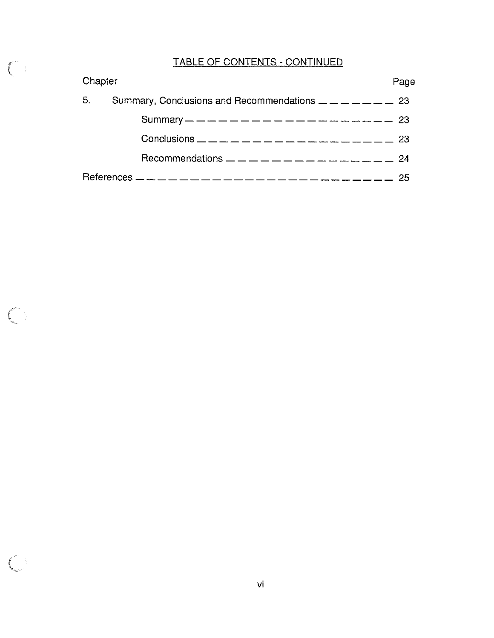## TABLE OF CONTENTS - CONTINUED

| Chapter |                                                                                                             |     |
|---------|-------------------------------------------------------------------------------------------------------------|-----|
| 5.      | Summary, Conclusions and Recommendations $\frac{1}{1}$ = $\frac{1}{1}$ = $\frac{1}{1}$ = $\frac{1}{1}$ = 23 |     |
|         | Summary — — — — — — — — — — — — — — — — — — 23                                                              |     |
|         |                                                                                                             |     |
|         |                                                                                                             |     |
|         |                                                                                                             | -25 |

 $\begin{pmatrix} 1 & 1 \\ 1 & 1 \end{pmatrix}$ 

 $\bigcirc$ 

 $\bigcirc$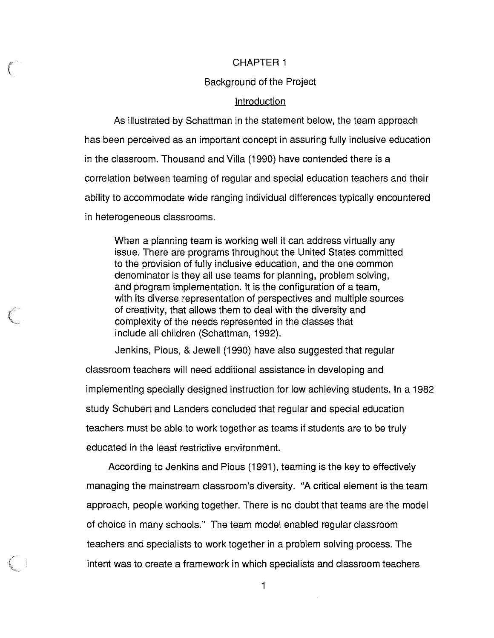### CHAPTER 1

### Background of the Project

### **Introduction**

As illustrated by Schattman in the statement below, the team approach has been perceived as an important concept in assuring fully inclusive education in the classroom. Thousand and Villa (1990) have contended there is a correlation between teaming of regular and special education teachers and their ability to accommodate wide ranging individual differences typically encountered in heterogeneous classrooms.

When a planning team is working well it can address virtually any issue. There are programs throughout the United States committed to the provision of fully inclusive education, and the one common denominator is they all use teams for planning, problem solving, and program implementation. It is the configuration of a team, with its diverse representation of perspectives and multiple sources of creativity, that allows them to deal with the diversity and complexity of the needs represented in the classes that include all children (Schattman, 1992).

Jenkins, Pious, & Jewell (1990) have also suggested that regular

classroom teachers will need additional assistance in developing and implementing specially designed instruction for low achieving students. In a 1982 study Schubert and Landers concluded that regular and special education teachers must be able to work together as teams if students are to be truly educated in the least restrictive environment.

According to Jenkins and Pious (1991 ), teaming is the key to effectively managing the mainstream classroom's diversity. "A critical element is the team approach, people working together. There is no doubt that teams are the model of choice in many schools." The team model enabled regular classroom teachers and specialists to work together in a problem solving process. The intent was to create a framework in which specialists and classroom teachers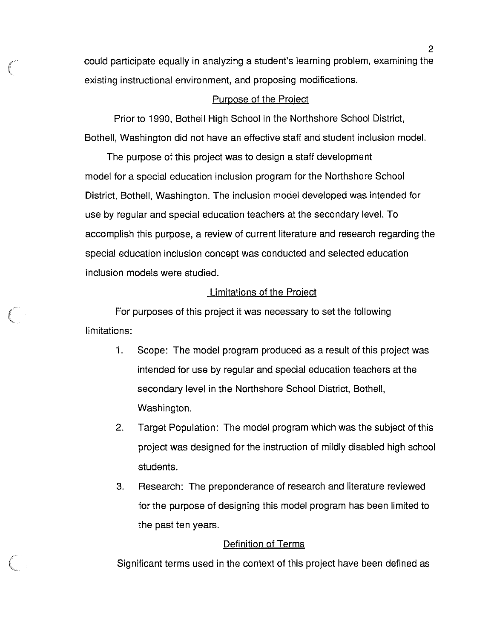could participate equally in analyzing a student's learning problem, examining the existing instructional environment, and proposing modifications.

### Purpose of the Project

Prior to 1990, Bothell High School in the Northshore School District, Bothell, Washington did not have an effective staff and student inclusion model.

The purpose of this project was to design a staff development model for a special education inclusion program for the Northshore School District, Bothell, Washington. The inclusion model developed was intended for use by regular and special education teachers at the secondary level. To accomplish this purpose, a review of current literature and research regarding the special education inclusion concept was conducted and selected education inclusion models were studied.

### Limitations of the Project

For purposes of this project it was necessary to set the following limitations:

- 1. Scope: The model program produced as a result of this project was intended for use by regular and special education teachers at the secondary level in the Northshore School District, Bothell, Washington.
- 2. Target Population: The model program which was the subject of this project was designed for the instruction of mildly disabled high school students.
- 3. Research: The preponderance of research and literature reviewed for the purpose of designing this model program has been limited to the past ten years.

### Definition of Terms

Significant terms used in the context of this project have been defined as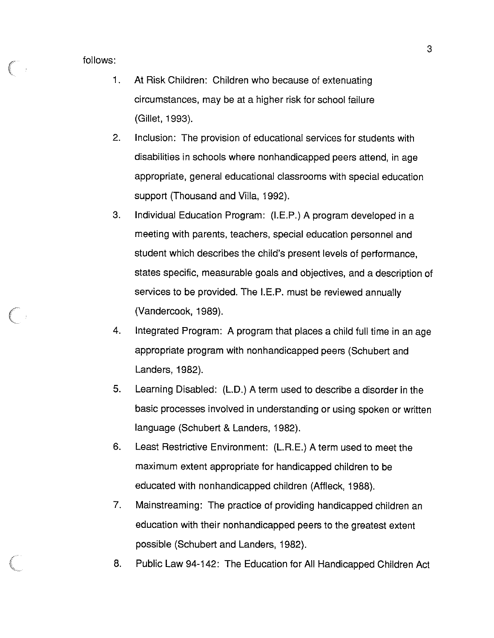follows:

- 1. At Risk Children: Children who because of extenuating circumstances, may be at a higher risk for school failure (Gillet, 1993).
- 2. Inclusion: The provision of educational services for students with disabilities in schools where nonhandicapped peers attend, in age appropriate, general educational classrooms with special education support (Thousand and Villa, 1992).
- 3. Individual Education Program: (I.E.P.) A program developed in a meeting with parents, teachers, special education personnel and student which describes the child's present levels of performance, states specific, measurable goals and objectives, and a description of services to be provided. The I.E.P. must be reviewed annually (Vandercook, 1989).
- 4. Integrated Program: A program that places a child full time in an age appropriate program with nonhandicapped peers (Schubert and Landers, 1982).
- 5. Learning Disabled: (L.D.) A term used to describe a disorder in the basic processes involved in understanding or using spoken or written language (Schubert & Landers, 1982).
- 6. Least Restrictive Environment: (L.R.E.) A term used to meet the maximum extent appropriate for handicapped children to be educated with nonhandicapped children (Affleck, 1988).
- 7. Mainstreaming: The practice of providing handicapped children an education with their nonhandicapped peers to the greatest extent possible (Schubert and Landers, 1982).
- 8. Public Law 94-142: The Education for All Handicapped Children Act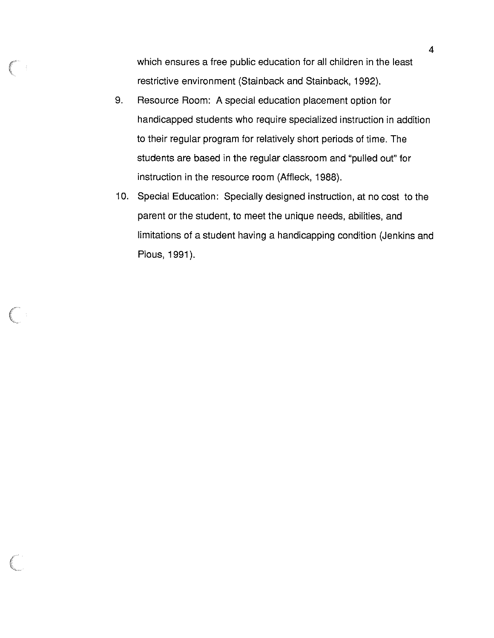which ensures a free public education for all children in the least restrictive environment (Stainback and Stainback, 1992).

- 9. Resource Room: A special education placement option for handicapped students who require specialized instruction in addition to their regular program for relatively short periods of time. The students are based in the regular classroom and "pulled out" for instruction in the resource room (Affleck, 1988).
- 10. Special Education: Specially designed instruction, at no cost to the parent or the student, to meet the unique needs, abilities, and limitations of a student having a handicapping condition (Jenkins and Pious, 1991).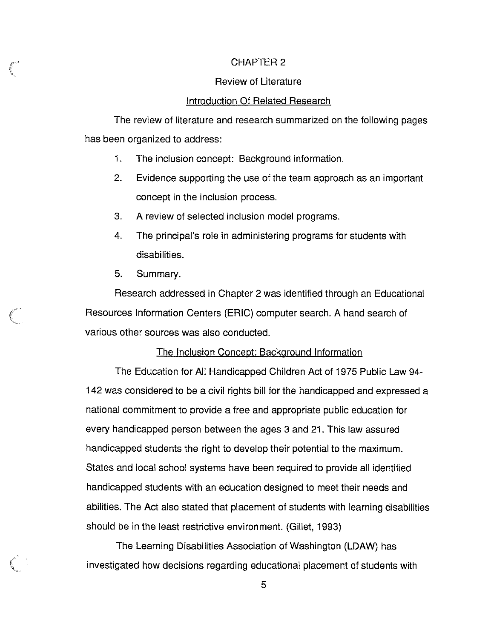### CHAPTER 2

### Review of Literature

### Introduction Of Related Research

The review of literature and research summarized on the following pages has been organized to address:

- 1. The inclusion concept: Background information.
- 2. Evidence supporting the use of the team approach as an important concept in the inclusion process.
- 3. A review of selected inclusion model programs.
- 4. The principal's role in administering programs for students with disabilities.
- 5. Summary.

*{*  \

> Research addressed in Chapter 2 was identified through an Educational Resources Information Centers (ERIC) computer search. A hand search of various other sources was also conducted.

### The Inclusion Concept: Background Information

The Education for All Handicapped Children Act of 1975 Public Law 94- 142 was considered to be a civil rights bill for the handicapped and expressed a national commitment to provide a free and appropriate public education for every handicapped person between the ages 3 and 21. This law assured handicapped students the right to develop their potential to the maximum. States and local school systems have been required to provide all identified handicapped students with an education designed to meet their needs and abilities. The Act also stated that placement of students with learning disabilities should be in the least restrictive environment. (Gillet, 1993)

The Learning Disabilities Association of Washington (LDAW) has investigated how decisions regarding educational placement of students with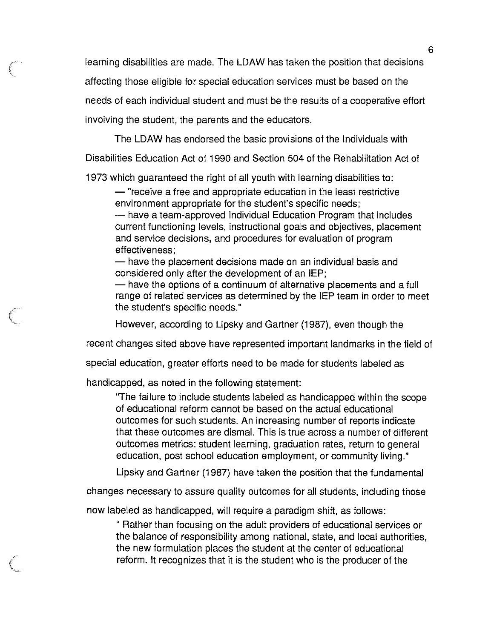learning disabilities are made. The LDAW has taken the position that decisions affecting those eligible for special education services must be based on the needs of each individual student and must be the results of a cooperative effort involving the student, the parents and the educators.

The LDAW has endorsed the basic provisions of the Individuals with

Disabilities Education Act of 1990 and Section 504 of the Rehabilitation Act of

1973 which guaranteed the right of all youth with learning disabilities to:

- "receive a free and appropriate education in the least restrictive environment appropriate for the student's specific needs;

- have a team-approved Individual Education Program that includes current functioning levels, instructional goals and objectives, placement and service decisions, and procedures for evaluation of program effectiveness;

- have the placement decisions made on an individual basis and considered only after the development of an IEP;

- have the options of a continuum of alternative placements and a full range of related services as determined by the IEP team in order to meet the student's specific needs."

However, according to Lipsky and Gartner (1987), even though the

recent changes sited above have represented important landmarks in the field of

special education, greater efforts need to be made for students labeled as

handicapped, as noted in the following statement:

'The failure to include students labeled as handicapped within the scope of educational reform cannot be based on the actual educational outcomes for such students. An increasing number of reports indicate that these outcomes are dismal. This is true across a number of different outcomes metrics: student learning, graduation rates, return to general education, post school education employment, or community living."

Lipsky and Gartner (1987) have taken the position that the fundamental

changes necessary to assure quality outcomes for all students, including those

now labeled as handicapped, will require a paradigm shift, as follows:

" Rather than focusing on the adult providers of educational services or the balance of responsibility among national, state, and local authorities, the new formulation places the student at the center of educational reform. It recognizes that it is the student who is the producer of the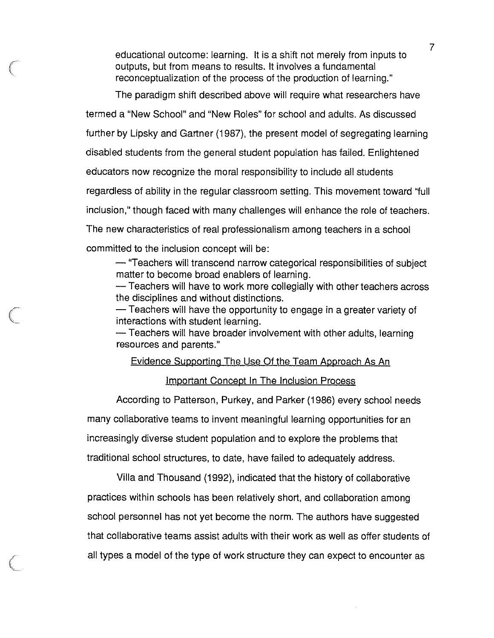educational outcome: learning. It is a shift not merely from inputs to outputs, but from means to results. It involves a fundamental reconceptualization of the process of the production of learning."

The paradigm shift described above will require what researchers have termed a "New School" and "New Roles" for school and adults. As discussed further by Lipsky and Gartner (1987), the present model of segregating learning disabled students from the general student population has failed. Enlightened educators now recognize the moral responsibility to include all students regardless of ability in the regular classroom setting. This movement toward ''full inclusion," though faced with many challenges will enhance the role of teachers. The new characteristics of real professionalism among teachers in a school committed to the inclusion concept will be:

 $-$  "Teachers will transcend narrow categorical responsibilities of subject matter to become broad enablers of learning.

-Teachers will have to work more collegially with other teachers across the disciplines and without distinctions.

 $-$  Teachers will have the opportunity to engage in a greater variety of interactions with student learning.

- Teachers will have broader involvement with other adults, learning resources and parents."

### Evidence Supporting The Use Of the Team Approach As An

### Important Concept In The Inclusion Process

According to Patterson, Purkey, and Parker (1986) every school needs many collaborative teams to invent meaningful learning opportunities for an increasingly diverse student population and to explore the problems that traditional school structures, to date, have failed to adequately address.

Villa and Thousand (1992), indicated that the history of collaborative practices within schools has been relatively short, and collaboration among school personnel has not yet become the norm. The authors have suggested that collaborative teams assist adults with their work as well as offer students of all types a model of the type of work structure they can expect to encounter as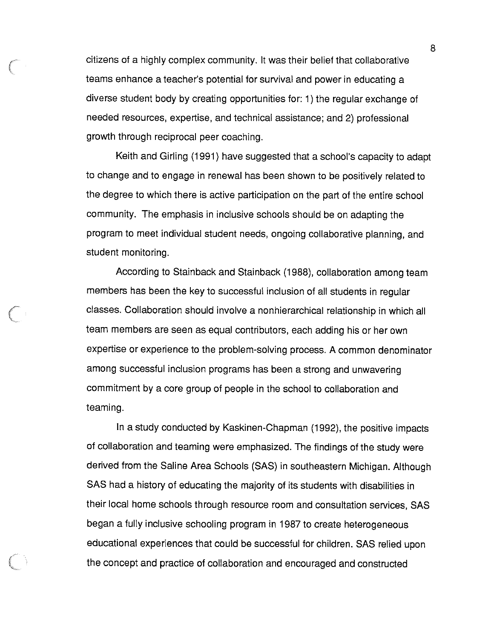citizens of a highly complex community. It was their belief that collaborative teams enhance a teacher's potential for survival and power in educating a diverse student body by creating opportunities for: 1) the regular exchange of needed resources, expertise, and technical assistance; and 2) professional growth through reciprocal peer coaching.

Keith and Girling (1991) have suggested that a school's capacity to adapt to change and to engage in renewal has been shown to be positively related to the degree to which there is active participation on the part of the entire school community. The emphasis in inclusive schools should be on adapting the program to meet individual student needs, ongoing collaborative planning, and student monitoring.

According to Stainback and Stainback (1988), collaboration among team members has been the key to successful inclusion of all students in regular classes. Collaboration should involve a nonhierarchical relationship in which all team members are seen as equal contributors, each adding his or her own expertise or experience to the problem-solving process. A common denominator among successful inclusion programs has been a strong and unwavering commitment by a core group of people in the school to collaboration and teaming.

In a study conducted by Kaskinen-Chapman (1992), the positive impacts of collaboration and teaming were emphasized. The findings of the study were derived from the Saline Area Schools (SAS) in southeastern Michigan. Although SAS had a history of educating the majority of its students with disabilities in their local home schools through resource room and consultation services, SAS began a fully inclusive schooling program in 1987 to create heterogeneous educational experiences that could be successful for children. SAS relied upon the concept and practice of collaboration and encouraged and constructed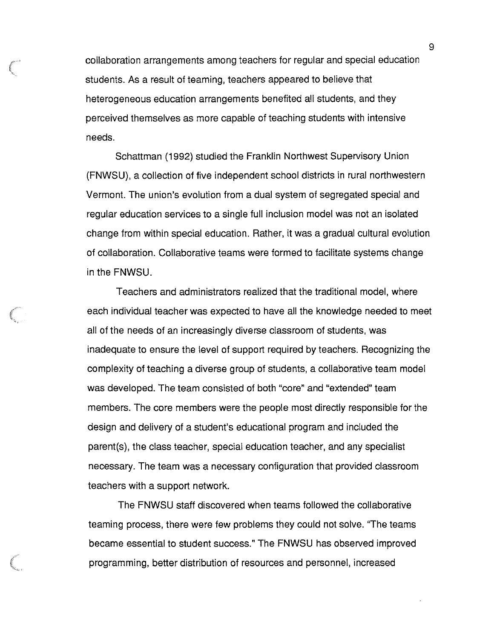collaboration arrangements among teachers for regular and special education students. As a result of teaming, teachers appeared to believe that heterogeneous education arrangements benefited all students, and they perceived themselves as more capable of teaching students with intensive needs.

Schattman (1992) studied the Franklin Northwest Supervisory Union (FNWSU), a collection of five independent school districts in rural northwestern Vermont. The union's evolution from a dual system of segregated special and regular education services to a single full inclusion model was not an isolated change from within special education. Rather, it was a gradual cultural evolution of collaboration. Collaborative teams were formed to facilitate systems change in the FNWSU.

Teachers and administrators realized that the traditional model, where each individual teacher was expected to have all the knowledge needed to meet all of the needs of an increasingly diverse classroom of students, was inadequate to ensure the level of support required by teachers. Recognizing the complexity of teaching a diverse group of students, a collaborative team model was developed. The team consisted of both "core" and "extended" team members. The core members were the people most directly responsible for the design and delivery of a student's educational program and included the parent(s), the class teacher, special education teacher, and any specialist necessary. The team was a necessary configuration that provided classroom teachers with a support network.

The FNWSU staff discovered when teams followed the collaborative teaming process, there were few problems they could not solve. ''The teams became essential to student success." The FNWSU has observed improved programming, better distribution of resources and personnel, increased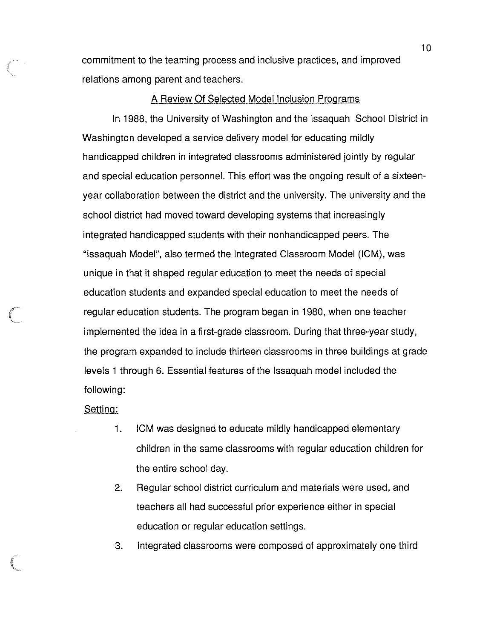commitment to the teaming process and inclusive practices, and improved relations among parent and teachers.

### A Review Of Selected Model Inclusion Programs

In 1988, the University of Washington and the Issaquah School District in Washington developed a service delivery model for educating mildly handicapped children in integrated classrooms administered jointly by regular and special education personnel. This effort was the ongoing result of a sixteenyear collaboration between the district and the university. The university and the school district had moved toward developing systems that increasingly integrated handicapped students with their nonhandicapped peers. The "Issaquah Model", also termed the Integrated Classroom Model (ICM), was unique in that it shaped regular education to meet the needs of special education students and expanded special education to meet the needs of regular education students. The program began in 1980, when one teacher implemented the idea in a first-grade classroom. During that three-year study, the program expanded to include thirteen classrooms in three buildings at grade levels 1 through 6. Essential features of the Issaquah model included the following:

Setting:

- 1. ICM was designed to educate mildly handicapped elementary children in the same classrooms with regular education children for the entire school day.
- 2. Regular school district curriculum and materials were used, and teachers all had successful prior experience either in special education or regular education settings.
- 3. Integrated classrooms were composed of approximately one third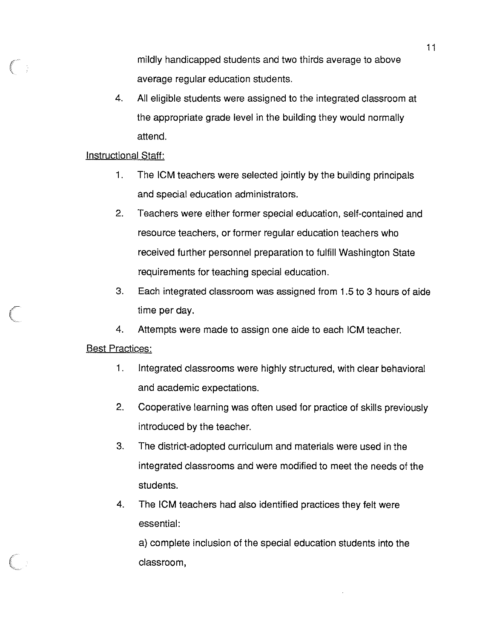mildly handicapped students and two thirds average to above average regular education students.

4. All eligible students were assigned to the integrated classroom at the appropriate grade level in the building they would normally attend.

### Instructional Staff:

- 1. The **ICM** teachers were selected jointly by the building principals and special education administrators.
- 2. Teachers were either former special education, self-contained and resource teachers, or former regular education teachers who received further personnel preparation to fulfill Washington State requirements for teaching special education.
- 3. Each integrated classroom was assigned from 1.5 to 3 hours of aide time per day.
- 4. Attempts were made to assign one aide to each ICM teacher.

### Best Practices:

- 1. Integrated classrooms were highly structured, with clear behavioral and academic expectations.
- 2. Cooperative learning was often used for practice of skills previously introduced by the teacher.
- 3. The district-adopted curriculum and materials were used in the integrated classrooms and were modified to meet the needs of the students.
- 4. The ICM teachers had also identified practices they felt were essential:

a) complete inclusion of the special education students into the classroom,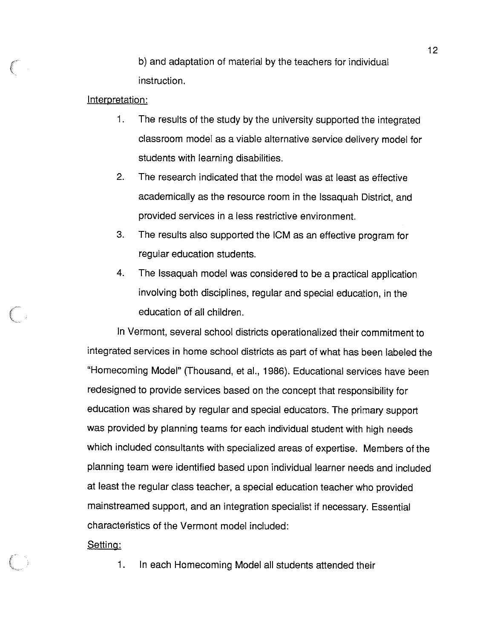b) and adaptation of material by the teachers for individual instruction.

### Interpretation:

- 1. The results of the study by the university supported the integrated classroom model as a viable alternative service delivery model for students with learning disabilities.
- 2. The research indicated that the model was at least as effective academically as the resource room in the Issaquah District, and provided services in a less restrictive environment.
- 3. The results also supported the **ICM** as an effective program for regular education students.
- 4. The Issaquah model was considered to be a practical application involving both disciplines, regular and special education, in the education of all children.

In Vermont, several school districts operationalized their commitment to integrated services in home school districts as part of what has been labeled the "Homecoming Model" (Thousand, et al., 1986). Educational services have been redesigned to provide services based on the concept that responsibility for education was shared by regular and special educators. The primary support was provided by planning teams for each individual student with high needs which included consultants with specialized areas of expertise. Members of the planning team were identified based upon individual learner needs and included at least the regular class teacher, a special education teacher who provided mainstreamed support, and an integration specialist if necessary. Essential characteristics of the Vermont model included:

Setting:

1. In each Homecoming Model all students attended their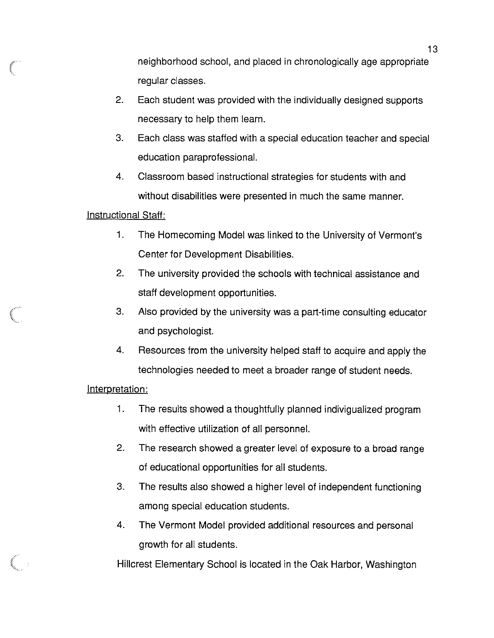neighborhood school, and placed in chronologically age appropriate regular classes.

- 2. Each student was provided with the individually designed supports necessary to help them learn.
- 3. Each class was staffed with a special education teacher and special education paraprofessional.
- 4. Classroom based instructional strategies for students with and without disabilities were presented in much the same manner.

### Instructional Staff:

- 1. The Homecoming Model was linked to the University of Vermont's Center for Development Disabilities.
- 2. The university provided the schools with technical assistance and staff development opportunities.
- 3. Also provided by the university was a part-time consulting educator and psychologist.
- 4. Resources from the university helped staff to acquire and apply the technologies needed to meet a broader range of student needs.

### Interpretation:

- 1. The results showed a thoughtfully planned indivigualized program with effective utilization of all personnel.
- 2. The research showed a greater level of exposure to a broad range of educational opportunities for all students.
- 3. The results also showed a higher level of independent functioning among special education students.
- 4. The Vermont Model provided additional resources and personal growth for all students.

Hillcrest Elementary School is located in the Oak Harbor, Washington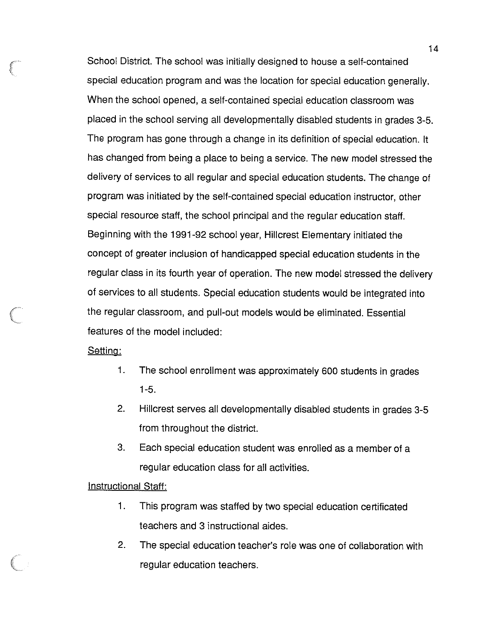School District. The school was initially designed to house a self-contained special education program and was the location for special education generally. When the school opened, a self-contained special education classroom was placed in the school serving all developmentally disabled students in grades 3-5. The program has gone through a change in its definition of special education. It has changed from being a place to being a service. The new model stressed the delivery of services to all regular and special education students. The change of program was initiated by the self-contained special education instructor, other special resource staff, the school principal and the regular education staff. Beginning with the 1991-92 school year, Hillcrest Elementary initiated the concept of greater inclusion of handicapped special education students in the regular class in its fourth year of operation. The new model stressed the delivery of services to all students. Special education students would be integrated into the regular classroom, and pull-out models would be eliminated. Essential features of the model included:

Setting:

- 1. The school enrollment was approximately 600 students in grades 1-5.
- 2. Hillcrest serves all developmentally disabled students in grades 3-5 from throughout the district.
- 3. Each special education student was enrolled as a member of a regular education class for all activities.

### Instructional Staff:

- 1. This program was staffed by two special education certificated teachers and 3 instructional aides.
- 2. The special education teacher's role was one of collaboration with regular education teachers.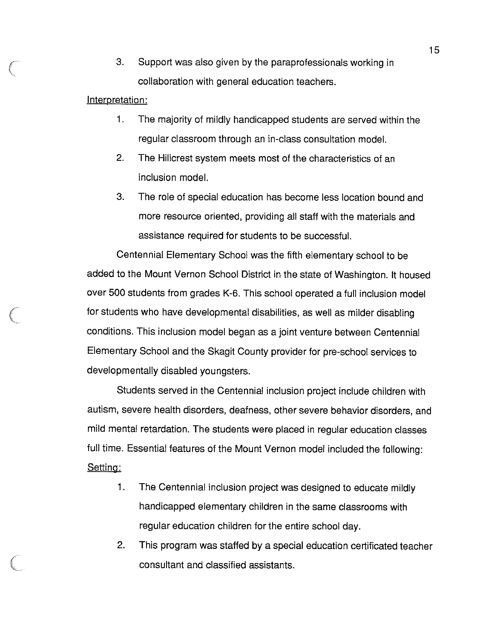3. Support was also given by the paraprofessionals working in collaboration with general education teachers.

### Interpretation:

- 1 . The majority of mildly handicapped students are served within the regular classroom through an in-class consultation model.
- 2. The Hillcrest system meets most of the characteristics of an inclusion model.
- 3. The role of special education has become less location bound and more resource oriented, providing all staff with the materials and assistance required for students to be successful.

Centennial Elementary School was the fifth elementary school to be added to the Mount Vernon School District in the state of Washington. It housed over 500 students from grades K-6. This school operated a full inclusion model for students who have developmental disabilities, as well as milder disabling conditions. This inclusion model began as a joint venture between Centennial Elementary School and the Skagit County provider for pre-school services to developmentally disabled youngsters.

Students served in the Centennial inclusion project include children with autism, severe health disorders, deafness, other severe behavior disorders, and mild mental retardation. The students were placed in regular education classes full time. Essential features of the Mount Vernon model included the following: Setting:

- 1. The Centennial inclusion project was designed to educate mildly handicapped elementary children in the same classrooms with regular education children for the entire school day.
- 2. This program was staffed by a special education certificated teacher consultant and classified assistants.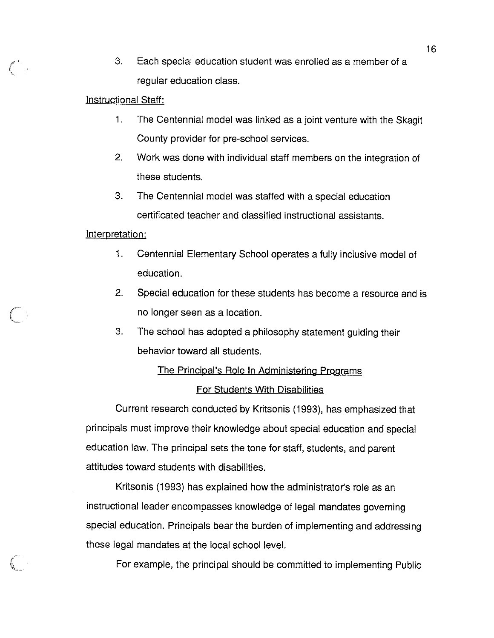3. Each special education student was enrolled as a member of a regular education class.

### Instructional Staff:

- 1. The Centennial model was linked as a joint venture with the Skagit County provider for pre-school services.
- 2. Work was done with individual staff members on the integration of these students.
- 3. The Centennial model was staffed with a special education certificated teacher and classified instructional assistants.

### Interpretation:

- 1. Centennial Elementary School operates a fully inclusive model of education.
- 2. Special education for these students has become a resource and is no longer seen as a location.
- 3. The school has adopted a philosophy statement guiding their behavior toward all students.

# The Principal's Role In Administering Programs

### For Students With Disabilities

Current research conducted by Kritsonis (1993), has emphasized that principals must improve their knowledge about special education and special education law. The principal sets the tone for staff, students, and parent attitudes toward students with disabilities.

Kritsonis (1993) has explained how the administrator's role as an instructional leader encompasses knowledge of legal mandates governing special education. Principals bear the burden of implementing and addressing these legal mandates at the local school level.

For example, the principal should be committed to implementing Public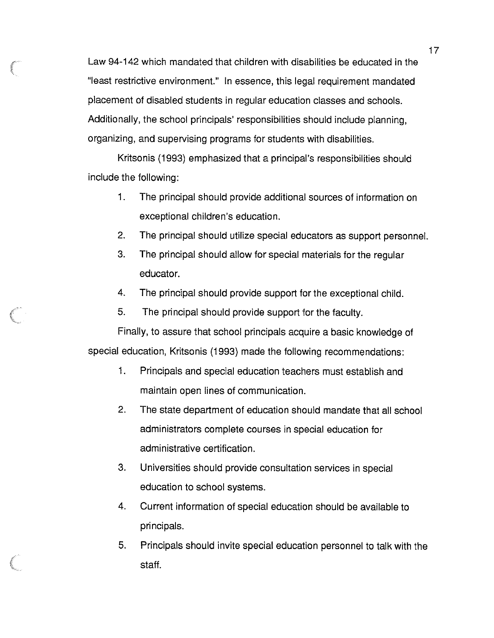Law 94-142 which mandated that children with disabilities be educated in the "least restrictive environment." In essence, this legal requirement mandated placement of disabled students in regular education classes and schools. Additionally, the school principals' responsibilities should include planning, organizing, and supervising programs for students with disabilities.

Kritsonis (1993) emphasized that a principal's responsibilities should include the following:

- 1. The principal should provide additional sources of information on exceptional children's education.
- 2. The principal should utilize special educators as support personnel.
- 3. The principal should allow for special materials for the regular educator.
- 4. The principal should provide support for the exceptional child.
- 5. The principal should provide support for the faculty.

Finally, to assure that school principals acquire a basic knowledge of special education, Kritsonis (1993) made the following recommendations:

- 1. Principals and special education teachers must establish and maintain open lines of communication.
- 2. The state department of education should mandate that all school administrators complete courses in special education for administrative certification.
- 3. Universities should provide consultation services in special education to school systems.
- 4. Current information of special education should be available to principals.
- 5. Principals should invite special education personnel to talk with the staff.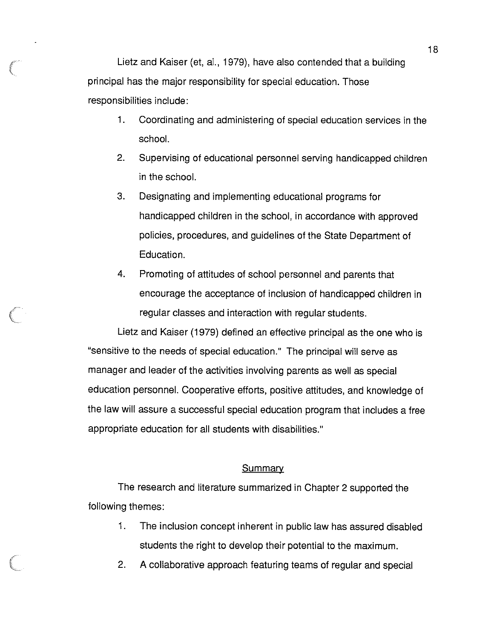Lietz and Kaiser (et, al., 1979), have also contended that a building principal has the major responsibility for special education. Those responsibilities include:

- 1. Coordinating and administering of special education services in the school.
- 2. Supervising of educational personnel serving handicapped children in the school.
- 3. Designating and implementing educational programs for handicapped children in the school, in accordance with approved policies, procedures, and guidelines of the State Department of Education.
- 4. Promoting of attitudes of school personnel and parents that encourage the acceptance of inclusion of handicapped children in regular classes and interaction with regular students.

Lietz and Kaiser (1979) defined an effective principal as the one who is "sensitive to the needs of special education." The principal will serve as manager and leader of the activities involving parents as well as special education personnel. Cooperative efforts, positive attitudes, and knowledge of the law will assure a successful special education program that includes a free appropriate education for all students with disabilities."

### **Summary**

The research and literature summarized in Chapter 2 supported the following themes:

- 1. The inclusion concept inherent in public law has assured disabled students the right to develop their potential to the maximum.
- 2. A collaborative approach featuring teams of regular and special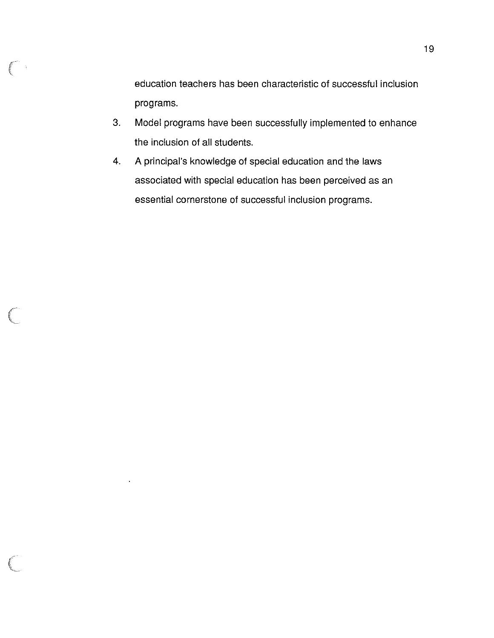education teachers has been characteristic of successful inclusion programs.

- 3. Model programs have been successfully implemented to enhance the inclusion of all students.
- 4. A principal's knowledge of special education and the laws associated with special education has been perceived as an essential cornerstone of successful inclusion programs.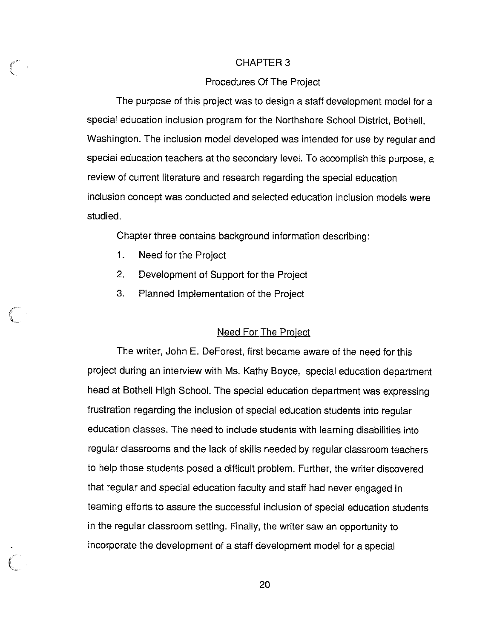### CHAPTER 3

### Procedures Of The Project

The purpose of this project was to design a staff development model for a special education inclusion program for the Northshore School District, Bothell, Washington. The inclusion model developed was intended for use by regular and special education teachers at the secondary level. To accomplish this purpose, a review of current literature and research regarding the special education inclusion concept was conducted and selected education inclusion models were studied.

Chapter three contains background information describing:

- 1. Need for the Project
- 2. Development of Support for the Project
- 3. Planned Implementation of the Project

### Need For The Project

The writer, John E. DeForest, first became aware of the need for this project during an interview with Ms. Kathy Boyce, special education department head at Bothell High School. The special education department was expressing frustration regarding the inclusion of special education students into regular education classes. The need to include students with learning disabilities into regular classrooms and the lack of skills needed by regular classroom teachers to help those students posed a difficult problem. Further, the writer discovered that regular and special education faculty and staff had never engaged in teaming efforts to assure the successful inclusion of special education students in the regular classroom setting. Finally, the writer saw an opportunity to incorporate the development of a staff development model for a special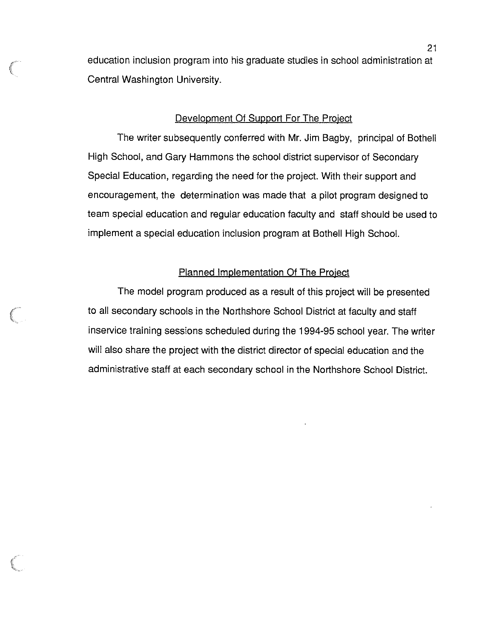education inclusion program into his graduate studies in school administration at Central Washington University.

### Development Of Support For The Proiect

The writer subsequently conferred with Mr. Jim Bagby, principal of Bothell High School, and Gary Hammons the school district supervisor of Secondary Special Education, regarding the need for the project. With their support and encouragement, the determination was made that a pilot program designed to team special education and regular education faculty and staff should be used to implement a special education inclusion program at Bothell High School.

### Planned Implementation Of The Proiect

The model program produced as a result of this project will be presented to all secondary schools in the Northshore School District at faculty and staff inservice training sessions scheduled during the 1994-95 school year. The writer will also share the project with the district director of special education and the administrative staff at each secondary school in the Northshore School District.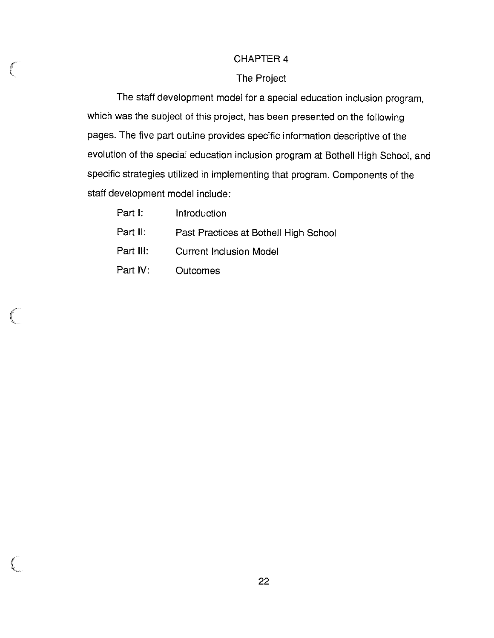### CHAPTER 4

### The Project

The staff development model for a special education inclusion program, which was the subject of this project, has been presented on the following pages. The five part outline provides specific information descriptive of the evolution of the special education inclusion program at Bothell High School, and specific strategies utilized in implementing that program. Components of the staff development model include:

| Part I:   | Introduction                          |
|-----------|---------------------------------------|
| Part II:  | Past Practices at Bothell High School |
| Part III: | <b>Current Inclusion Model</b>        |
| Part IV:  | <b>Outcomes</b>                       |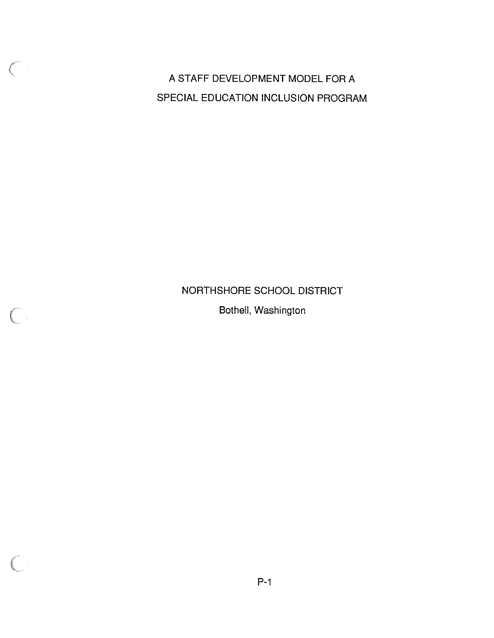A STAFF DEVELOPMENT MODEL FOR A SPECIAL EDUCATION INCLUSION PROGRAM

 $\bigcirc$ 

## NORTHSHORE SCHOOL DISTRICT

Bothell, Washington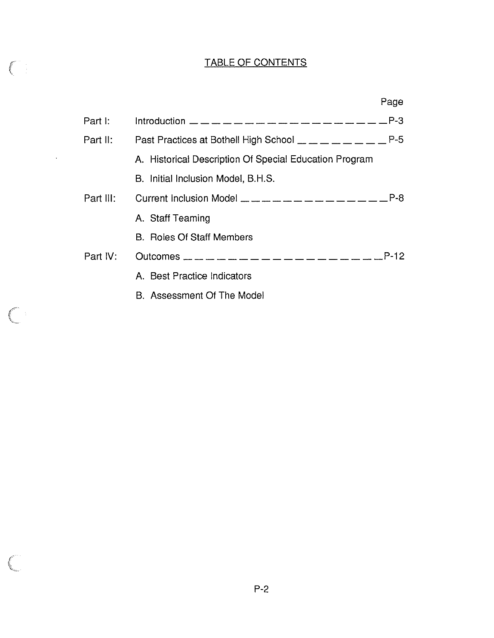## TABLE OF CONTENTS

 $\bigcap$ 

 $\left($ 

 $\sim 10^{-11}$ 

|           |                                                                                                                                                                                                                                                                                                                | Page |
|-----------|----------------------------------------------------------------------------------------------------------------------------------------------------------------------------------------------------------------------------------------------------------------------------------------------------------------|------|
| Part I:   |                                                                                                                                                                                                                                                                                                                |      |
| Part II:  | Past Practices at Bothell High School $\_\_ \_\_ \_\_ \_\_ \_\_ \_ \_ \_ \_ \_ \_ \_ \_ \_$                                                                                                                                                                                                                    |      |
|           | A. Historical Description Of Special Education Program                                                                                                                                                                                                                                                         |      |
|           | B. Initial Inclusion Model, B.H.S.                                                                                                                                                                                                                                                                             |      |
| Part III: | Current Inclusion Model $\frac{1}{2}$ $\frac{1}{2}$ $\frac{1}{2}$ $\frac{1}{2}$ $\frac{1}{2}$ $\frac{1}{2}$ $\frac{1}{2}$ $\frac{1}{2}$ $\frac{1}{2}$ $\frac{1}{2}$ $\frac{1}{2}$ $\frac{1}{2}$ $\frac{1}{2}$ $\frac{1}{2}$ $\frac{1}{2}$ $\frac{1}{2}$ $\frac{1}{2}$ $\frac{1}{2}$ $\frac{1}{2}$ $\frac{1}{2$ |      |
|           | A. Staff Teaming                                                                                                                                                                                                                                                                                               |      |
|           | <b>B.</b> Roles Of Staff Members                                                                                                                                                                                                                                                                               |      |
| Part IV:  |                                                                                                                                                                                                                                                                                                                |      |
|           | A. Best Practice Indicators                                                                                                                                                                                                                                                                                    |      |
|           | B. Assessment Of The Model                                                                                                                                                                                                                                                                                     |      |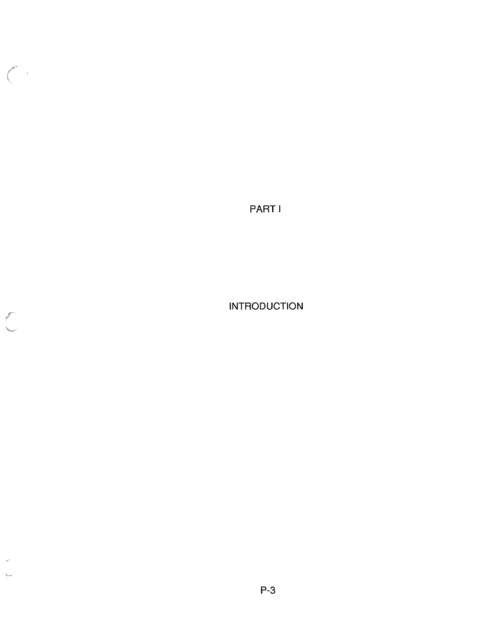PARTI

 $\bigl(\begin{array}{c} \begin{array}{c} \begin{array}{c} \end{array}\\ \begin{array}{c} \end{array}\\ \end{array}\bigr) \end{array}$ 

 $\mathcal{P}^{\prime\prime}$  $\rm _{MABC}$  INTRODUCTION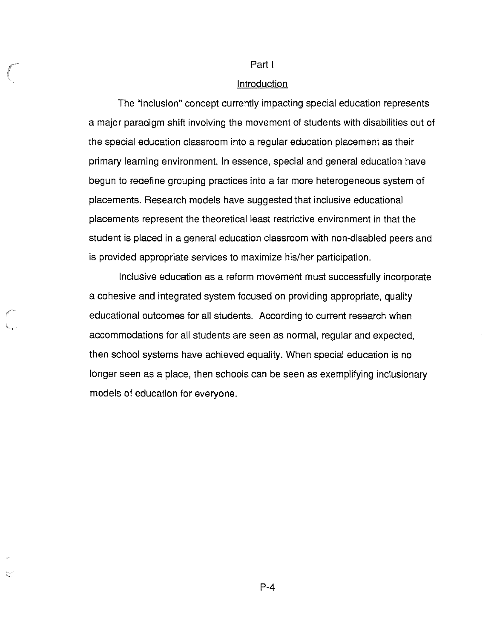#### Part I

### **Introduction**

The "inclusion" concept currently impacting special education represents a major paradigm shift involving the movement of students with disabilities out of the special education classroom into a regular education placement as their primary learning environment. In essence, special and general education have begun to redefine grouping practices into a far more heterogeneous system of placements. Research models have suggested that inclusive educational placements represent the theoretical least restrictive environment in that the student is placed in a general education classroom with non-disabled peers and is provided appropriate services to maximize his/her participation.

Inclusive education as a reform movement must successfully incorporate a cohesive and integrated system focused on providing appropriate, quality educational outcomes for all students. According to current research when accommodations for all students are seen as normal, regular and expected, then school systems have achieved equality. When special education is no longer seen as a place, then schools can be seen as exemplifying inclusionary models of education for everyone.

/

≍

P-4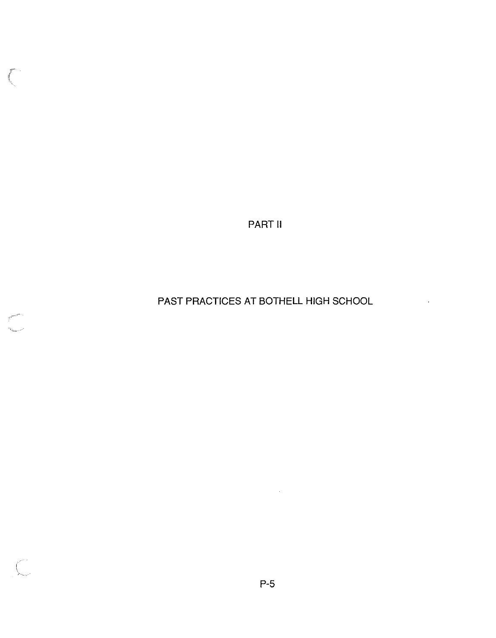PART II

 $\mathcal{C}^{\mathcal{C}}$ 

PAST PRACTICES AT BOTHELL HIGH SCHOOL

 $\ddot{\phantom{0}}$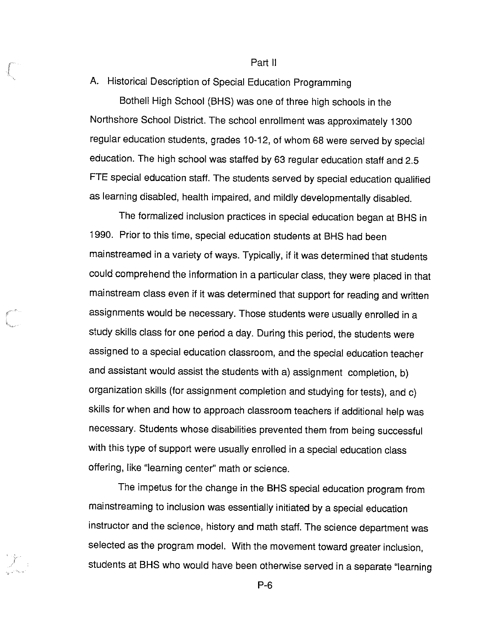### Part II

### A. Historical Description of Special Education Programming

Bothell High School (BHS) was one of three high schools in the Northshore School District. The school enrollment was approximately 1300 regular education students, grades 10-12, of whom 68 were served by special education. The high school was staffed by 63 regular education staff and 2.5 FTE special education staff. The students served by special education qualified as learning disabled, health impaired, and mildly developmentally disabled.

The formalized inclusion practices in special education began at BHS in 1990. Prior to this time, special education students at BHS had been mainstreamed in a variety of ways. Typically, if it was determined that students could comprehend the information in a particular class, they were placed in that mainstream class even if it was determined that support for reading and written assignments would be necessary. Those students were usually enrolled in a study skills class for one period a day. During this period, the students were assigned to a special education classroom, and the special education teacher and assistant would assist the students with a) assignment completion, b) organization skills (for assignment completion and studying for tests), and c) skills for when and how to approach classroom teachers if additional help was necessary. Students whose disabilities prevented them from being successful with this type of support were usually enrolled in a special education class offering, like "learning center'' math or science.

The impetus for the change in the BHS special education program from mainstreaming to inclusion was essentially initiated by a special education instructor and the science, history and math staff. The science department was selected as the program model. With the movement toward greater inclusion, students at BHS who would have been otherwise served in a separate "learning

r

P-6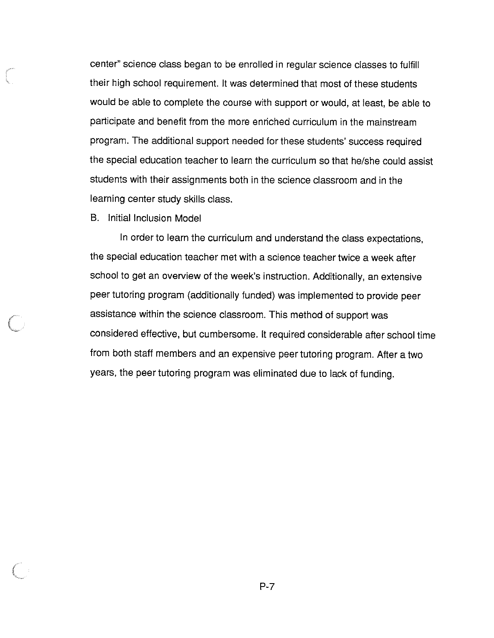center" science class began to be enrolled in regular science classes to fulfill their high school requirement. It was determined that most of these students would be able to complete the course with support or would, at least, be able to participate and benefit from the more enriched curriculum in the mainstream program. The additional support needed for these students' success required the special education teacher to learn the curriculum so that he/she could assist students with their assignments both in the science classroom and in the learning center study skills class.

B. Initial Inclusion Model

In order to learn the curriculum and understand the class expectations, the special education teacher met with a science teacher twice a week after school to get an overview of the week's instruction. Additionally, an extensive peer tutoring program (additionally funded} was implemented to provide peer assistance within the science classroom. This method of support was considered effective, but cumbersome. It required considerable after school time from both staff members and an expensive peer tutoring program. After a two years, the peer tutoring program was eliminated due to lack of funding.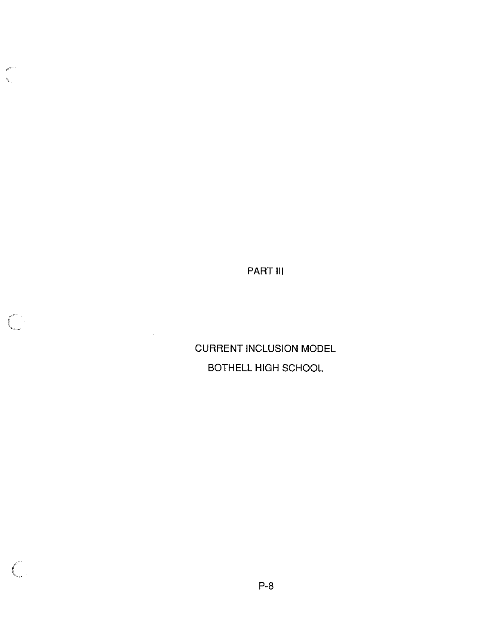PART Ill

**K** 

CURRENT INCLUSION MODEL BOTHELL HIGH SCHOOL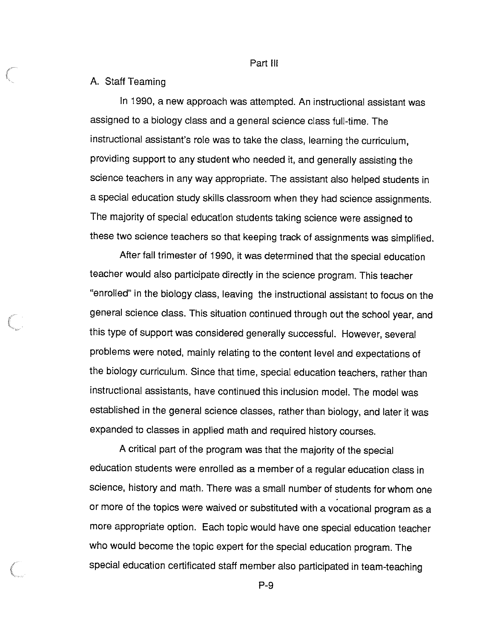Part III

### A. Staff Teaming

In 1990, a new approach was attempted. An instructional assistant was assigned to a biology class and a general science class full-time. The instructional assistant's role was to take the class, learning the curriculum, providing support to any student who needed it, and generally assisting the science teachers in any way appropriate. The assistant also helped students in a special education study skills classroom when they had science assignments. The majority of special education students taking science were assigned to these two science teachers so that keeping track of assignments was simplified.

After fall trimester of 1990, it was determined that the special education teacher would also participate directly in the science program. This teacher "enrolled" in the biology class, leaving the instructional assistant to focus on the general science class. This situation continued through out the school year, and this type of support was considered generally successful. However, several problems were noted, mainly relating to the content level and expectations of the biology curriculum. Since that time, special education teachers, rather than instructional assistants, have continued this inclusion model. The model was established in the general science classes, rather than biology, and later it was expanded to classes in applied math and required history courses.

A critical part of the program was that the majority of the special education students were enrolled as a member of a regular education class in science, history and math. There was a small number of students for whom one or more of the topics were waived or substituted with a vocational program as a more appropriate option. Each topic would have one special education teacher who would become the topic expert for the special education program. The special education certificated staff member also participated in team-teaching

P-9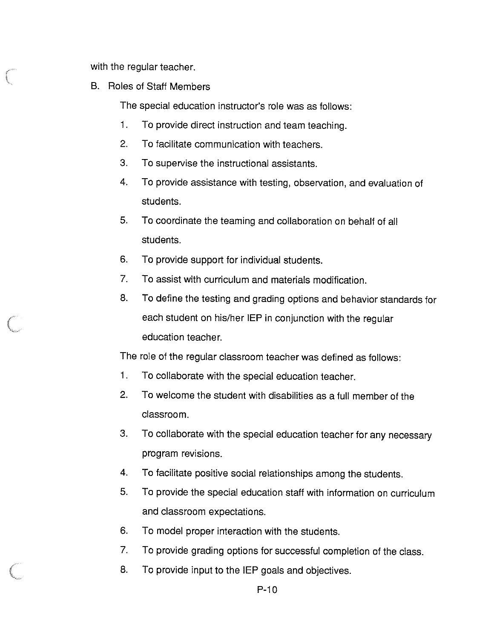with the regular teacher.

B. Roles of Staff Members

The special education instructor's role was as follows:

- 1. To provide direct instruction and team teaching.
- 2. To facilitate communication with teachers.
- 3. To supervise the instructional assistants.
- 4. To provide assistance with testing, observation, and evaluation of students.
- 5. To coordinate the teaming and collaboration on behalf of all students.
- 6. To provide support for individual students.
- 7. To assist with curriculum and materials modification.
- 8. To define the testing and grading options and behavior standards for each student on his/her IEP in conjunction with the regular education teacher.

The role of the regular classroom teacher was defined as follows:

- 1. To collaborate with the special education teacher.
- 2. To welcome the student with disabilities as a full member of the classroom.
- 3. To collaborate with the special education teacher for any necessary program revisions.
- 4. To facilitate positive social relationships among the students.
- 5. To provide the special education staff with information on curriculum and classroom expectations.
- 6. To model proper interaction with the students.
- 7. To provide grading options for successful completion of the class.
- 8. To provide input to the IEP goals and objectives.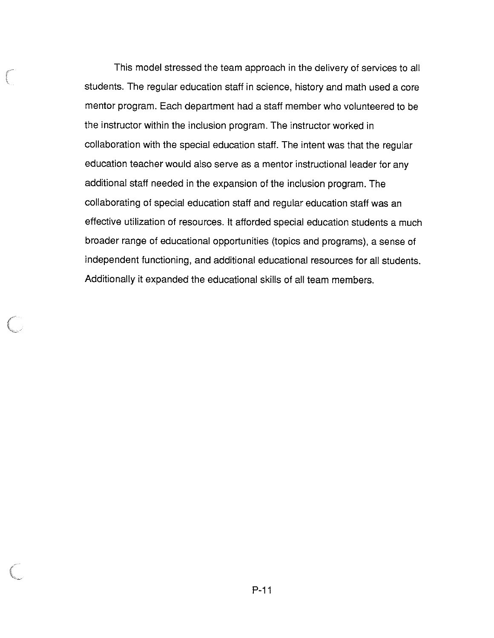This model stressed the team approach in the delivery of services to all students. The regular education staff in science, history and math used a core mentor program. Each department had a staff member who volunteered to be the instructor within the inclusion program. The instructor worked in collaboration with the special education staff. The intent was that the regular education teacher would also serve as a mentor instructional leader for any additional staff needed in the expansion of the inclusion program. The collaborating of special education staff and regular education staff was an effective utilization of resources. It afforded special education students a much broader range of educational opportunities (topics and programs), a sense of independent functioning, and additional educational resources for all students. Additionally it expanded the educational skills of all team members.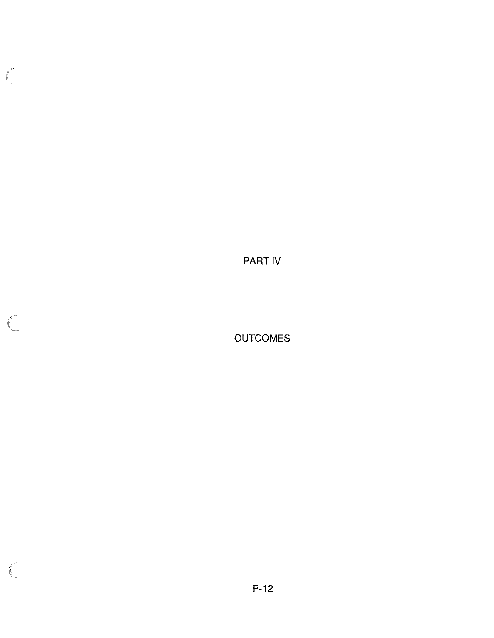PART IV

 $\int_{\Sigma}$ 

**OUTCOMES**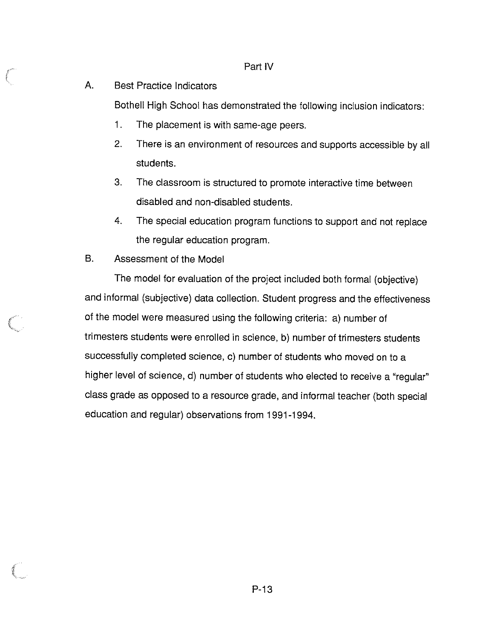### Part IV

### A. Best Practice Indicators

Bothell High School has demonstrated the following inclusion indicators:

- 1. The placement is with same-age peers.
- 2. There is an environment of resources and supports accessible by all students.
- 3. The classroom is structured to promote interactive time between disabled and non-disabled students.
- 4. The special education program functions to support and not replace the regular education program.
- B. Assessment of the Model

The model for evaluation of the project included both formal (objective) and informal (subjective) data collection. Student progress and the effectiveness of the model were measured using the following criteria: a) number of trimesters students were enrolled in science, b) number of trimesters students successfully completed science, c) number of students who moved on to a higher level of science, d) number of students who elected to receive a "regular" class grade as opposed to a resource grade, and informal teacher (both special education and regular) observations from 1991-1994.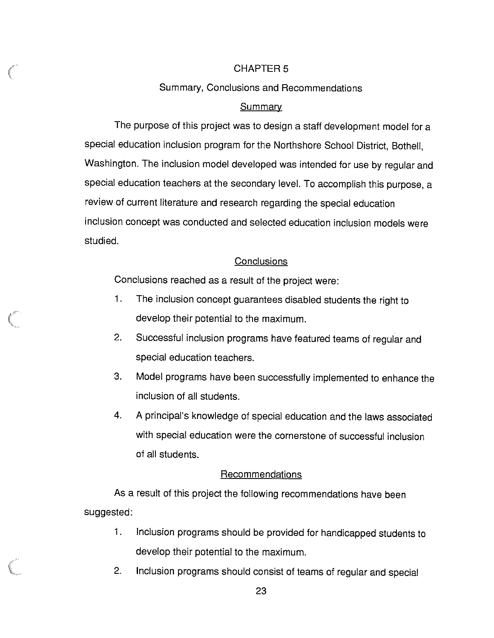### CHAPTER 5

### Summary, Conclusions and Recommendations

### **Summary**

The purpose of this project was to design a staff development model for a special education inclusion program for the Northshore School District, Bothell, Washington. The inclusion model developed was intended for use by regular and special education teachers at the secondary level. To accomplish this purpose, a review of current literature and research regarding the special education inclusion concept was conducted and selected education inclusion models were studied.

### **Conclusions**

Conclusions reached as a result of the project were:

- 1. The inclusion concept guarantees disabled students the right to develop their potential to the maximum.
- 2. Successful inclusion programs have featured teams of regular and special education teachers.
- 3. Model programs have been successfully implemented to enhance the inclusion of all students.
- 4. A principal's knowledge of special education and the laws associated with special education were the cornerstone of successful inclusion of all students.

### Recommendations

As a result of this project the following recommendations have been suggested:

- 1. Inclusion programs should be provided for handicapped students to develop their potential to the maximum.
- 2. Inclusion programs should consist of teams of regular and special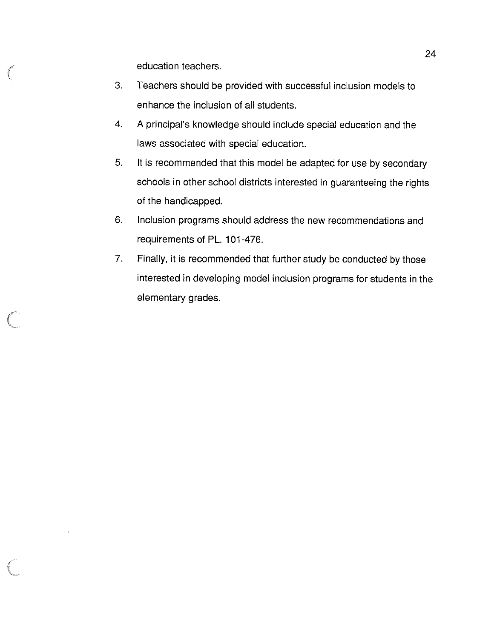education teachers.

- 3. Teachers should be provided with successful inclusion models to enhance the inclusion of all students.
- 4. A principal's knowledge should include special education and the laws associated with special education.
- 5. It is recommended that this model be adapted for use by secondary schools in other school districts interested in guaranteeing the rights of the handicapped.
- 6. Inclusion programs should address the new recommendations and requirements of PL. 101-476.
- 7. Finally, it is recommended that further study be conducted by those interested in developing model inclusion programs for students in the elementary grades.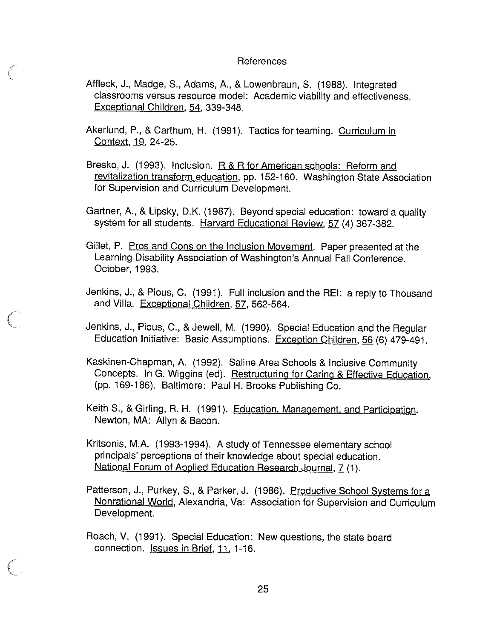### References

- Affleck, J., Madge, S., Adams, A., & Lowenbraun, S. (1988). Integrated classrooms versus resource model: Academic viability and effectiveness. Exceptional Children, 54, 339-348.
- Akerlund, P., & Carthum, H. (1991). Tactics for teaming. Curriculum in Context, 19, 24-25.
- Bresko, J. (1993). Inclusion. R & R for American schools: Reform and revitalization transform education, pp. 152-160. Washington State Association for Supervision and Curriculum Development.
- Gartner, A., & Lipsky, D.K. (1987). Beyond special education: toward a quality system for all students. Harvard Educational Review, 57 (4) 367-382.
- Gillet, P. Pros and Cons on the Inclusion Movement. Paper presented at the Learning Disability Association of Washington's Annual Fall Conference. October, 1993.
- Jenkins, J., & Pious, C. (1991). Full inclusion and the REI: a reply to Thousand and Villa. Exceptional Children, 57, 562-564.

Jenkins, J., Pious, C., & Jewell, M. (1990). Special Education and the Regular Education Initiative: Basic Assumptions. Exception Children, 56 (6) 479-491.

- Kaskinen-Chapman, A. (1992). Saline Area Schools & Inclusive Community Concepts. In G. Wiggins (ed). Restructuring for Caring & Effective Education, (pp. 169-186). Baltimore: Paul H. Brooks Publishing Co.
- Keith **S.,** & Girling, R. H. (1991 ). Education, Management, and Participation. Newton, **MA:** Allyn & Bacon.
- Kritsonis, **M.A.** (1993-1994). **A** study of Tennessee elementary school principals' perceptions of their knowledge about special education. National Forum of Applied Education Research Journal, 7 (1).
- Patterson, J., Purkey, S., & Parker, J. (1986). Productive School Systems for a Nonrational World, Alexandria, Va: Association for Supervision and Curriculum Development.
- Roach, V. (1991). Special Education: New questions, the state board connection. Issues in Brief, 11, 1-16.